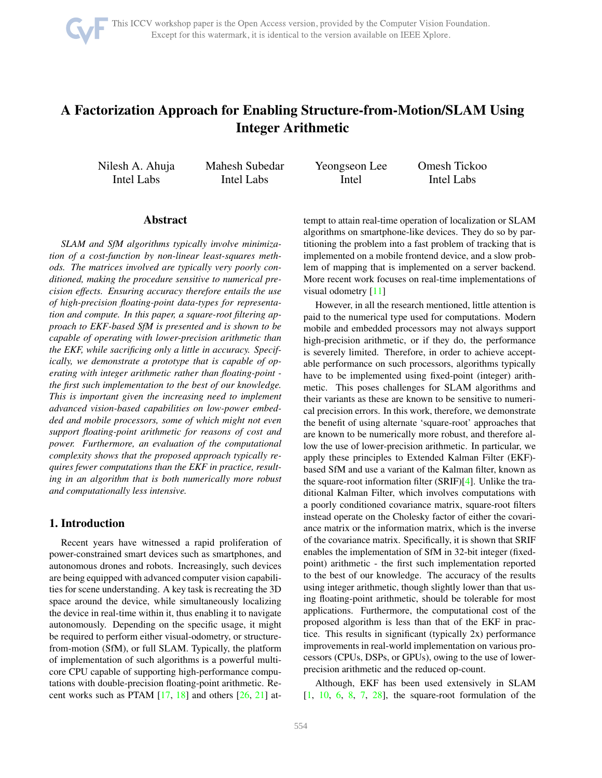

# <span id="page-0-1"></span>A Factorization Approach for Enabling Structure-from-Motion/SLAM Using Integer Arithmetic

Nilesh A. Ahuja Intel Labs

Mahesh Subedar Intel Labs

Yeongseon Lee Intel

Omesh Tickoo Intel Labs

# Abstract

*SLAM and SfM algorithms typically involve minimization of a cost-function by non-linear least-squares methods. The matrices involved are typically very poorly conditioned, making the procedure sensitive to numerical precision effects. Ensuring accuracy therefore entails the use of high-precision floating-point data-types for representation and compute. In this paper, a square-root filtering approach to EKF-based SfM is presented and is shown to be capable of operating with lower-precision arithmetic than the EKF, while sacrificing only a little in accuracy. Specifically, we demonstrate a prototype that is capable of operating with integer arithmetic rather than floating-point the first such implementation to the best of our knowledge. This is important given the increasing need to implement advanced vision-based capabilities on low-power embedded and mobile processors, some of which might not even support floating-point arithmetic for reasons of cost and power. Furthermore, an evaluation of the computational complexity shows that the proposed approach typically requires fewer computations than the EKF in practice, resulting in an algorithm that is both numerically more robust and computationally less intensive.*

# <span id="page-0-0"></span>1. Introduction

Recent years have witnessed a rapid proliferation of power-constrained smart devices such as smartphones, and autonomous drones and robots. Increasingly, such devices are being equipped with advanced computer vision capabilities for scene understanding. A key task is recreating the 3D space around the device, while simultaneously localizing the device in real-time within it, thus enabling it to navigate autonomously. Depending on the specific usage, it might be required to perform either visual-odometry, or structurefrom-motion (SfM), or full SLAM. Typically, the platform of implementation of such algorithms is a powerful multicore CPU capable of supporting high-performance computations with double-precision floating-point arithmetic. Recent works such as PTAM [\[17,](#page-7-0) [18\]](#page-7-1) and others [\[26,](#page-8-0) [21\]](#page-7-2) attempt to attain real-time operation of localization or SLAM algorithms on smartphone-like devices. They do so by partitioning the problem into a fast problem of tracking that is implemented on a mobile frontend device, and a slow problem of mapping that is implemented on a server backend. More recent work focuses on real-time implementations of visual odometry [\[11\]](#page-7-3)

However, in all the research mentioned, little attention is paid to the numerical type used for computations. Modern mobile and embedded processors may not always support high-precision arithmetic, or if they do, the performance is severely limited. Therefore, in order to achieve acceptable performance on such processors, algorithms typically have to be implemented using fixed-point (integer) arithmetic. This poses challenges for SLAM algorithms and their variants as these are known to be sensitive to numerical precision errors. In this work, therefore, we demonstrate the benefit of using alternate 'square-root' approaches that are known to be numerically more robust, and therefore allow the use of lower-precision arithmetic. In particular, we apply these principles to Extended Kalman Filter (EKF) based SfM and use a variant of the Kalman filter, known as the square-root information filter (SRIF)[\[4\]](#page-7-4). Unlike the traditional Kalman Filter, which involves computations with a poorly conditioned covariance matrix, square-root filters instead operate on the Cholesky factor of either the covariance matrix or the information matrix, which is the inverse of the covariance matrix. Specifically, it is shown that SRIF enables the implementation of SfM in 32-bit integer (fixedpoint) arithmetic - the first such implementation reported to the best of our knowledge. The accuracy of the results using integer arithmetic, though slightly lower than that using floating-point arithmetic, should be tolerable for most applications. Furthermore, the computational cost of the proposed algorithm is less than that of the EKF in practice. This results in significant (typically 2x) performance improvements in real-world implementation on various processors (CPUs, DSPs, or GPUs), owing to the use of lowerprecision arithmetic and the reduced op-count.

Although, EKF has been used extensively in SLAM  $[1, 10, 6, 8, 7, 28]$  $[1, 10, 6, 8, 7, 28]$  $[1, 10, 6, 8, 7, 28]$  $[1, 10, 6, 8, 7, 28]$  $[1, 10, 6, 8, 7, 28]$  $[1, 10, 6, 8, 7, 28]$  $[1, 10, 6, 8, 7, 28]$  $[1, 10, 6, 8, 7, 28]$  $[1, 10, 6, 8, 7, 28]$  $[1, 10, 6, 8, 7, 28]$  $[1, 10, 6, 8, 7, 28]$ , the square-root formulation of the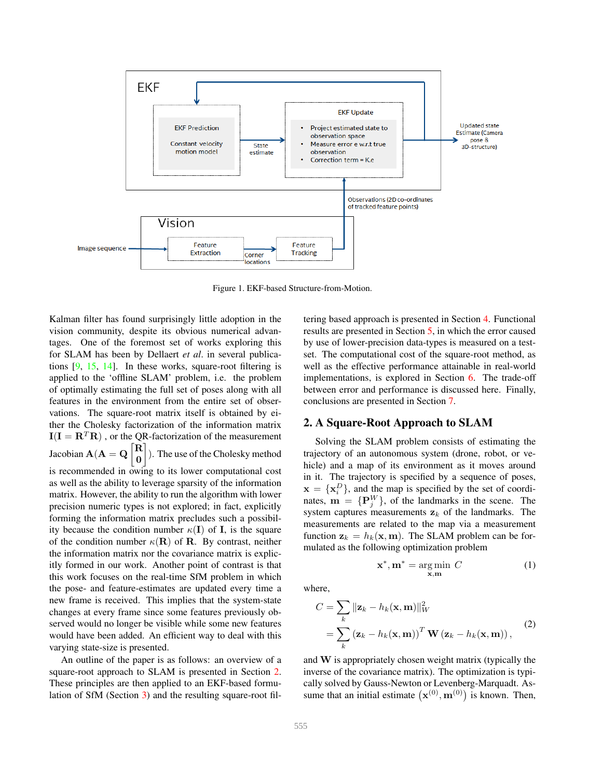<span id="page-1-1"></span>

Figure 1. EKF-based Structure-from-Motion.

Kalman filter has found surprisingly little adoption in the vision community, despite its obvious numerical advantages. One of the foremost set of works exploring this for SLAM has been by Dellaert *et al*. in several publications [\[9,](#page-7-9) [15,](#page-7-10) [14\]](#page-7-11). In these works, square-root filtering is applied to the 'offline SLAM' problem, i.e. the problem of optimally estimating the full set of poses along with all features in the environment from the entire set of observations. The square-root matrix itself is obtained by either the Cholesky factorization of the information matrix  $I(I = R^T R)$ , or the QR-factorization of the measurement Jacobian  $\mathbf{A}(\mathbf{A} = \mathbf{Q})$ 0 1 ). The use of the Cholesky method is recommended in owing to its lower computational cost as well as the ability to leverage sparsity of the information matrix. However, the ability to run the algorithm with lower precision numeric types is not explored; in fact, explicitly forming the information matrix precludes such a possibility because the condition number  $\kappa(I)$  of I, is the square of the condition number  $\kappa(R)$  of R. By contrast, neither the information matrix nor the covariance matrix is explicitly formed in our work. Another point of contrast is that this work focuses on the real-time SfM problem in which the pose- and feature-estimates are updated every time a new frame is received. This implies that the system-state changes at every frame since some features previously observed would no longer be visible while some new features would have been added. An efficient way to deal with this varying state-size is presented.

An outline of the paper is as follows: an overview of a square-root approach to SLAM is presented in Section [2.](#page-1-0) These principles are then applied to an EKF-based formulation of SfM (Section [3\)](#page-2-0) and the resulting square-root filtering based approach is presented in Section [4.](#page-3-0) Functional results are presented in Section [5,](#page-5-0) in which the error caused by use of lower-precision data-types is measured on a testset. The computational cost of the square-root method, as well as the effective performance attainable in real-world implementations, is explored in Section [6.](#page-6-1) The trade-off between error and performance is discussed here. Finally, conclusions are presented in Section [7.](#page-6-2)

# <span id="page-1-0"></span>2. A Square-Root Approach to SLAM

Solving the SLAM problem consists of estimating the trajectory of an autonomous system (drone, robot, or vehicle) and a map of its environment as it moves around in it. The trajectory is specified by a sequence of poses,  $\mathbf{x} = \{ \mathbf{x}_i^D \}$ , and the map is specified by the set of coordinates,  $\mathbf{m} = \{P_j^W\}$ , of the landmarks in the scene. The system captures measurements  $z_k$  of the landmarks. The measurements are related to the map via a measurement function  $z_k = h_k(x, m)$ . The SLAM problem can be formulated as the following optimization problem

$$
\mathbf{x}^*, \mathbf{m}^* = \underset{\mathbf{x}, \mathbf{m}}{\text{arg min }} C \tag{1}
$$

where,

$$
C = \sum_{k} ||\mathbf{z}_{k} - h_{k}(\mathbf{x}, \mathbf{m})||_{W}^{2}
$$
  
= 
$$
\sum_{k} (\mathbf{z}_{k} - h_{k}(\mathbf{x}, \mathbf{m}))^{T} \mathbf{W} (\mathbf{z}_{k} - h_{k}(\mathbf{x}, \mathbf{m})),
$$
 (2)

and W is appropriately chosen weight matrix (typically the inverse of the covariance matrix). The optimization is typically solved by Gauss-Newton or Levenberg-Marquadt. Assume that an initial estimate  $(\mathbf{x}^{(0)}, \mathbf{m}^{(0)})$  is known. Then,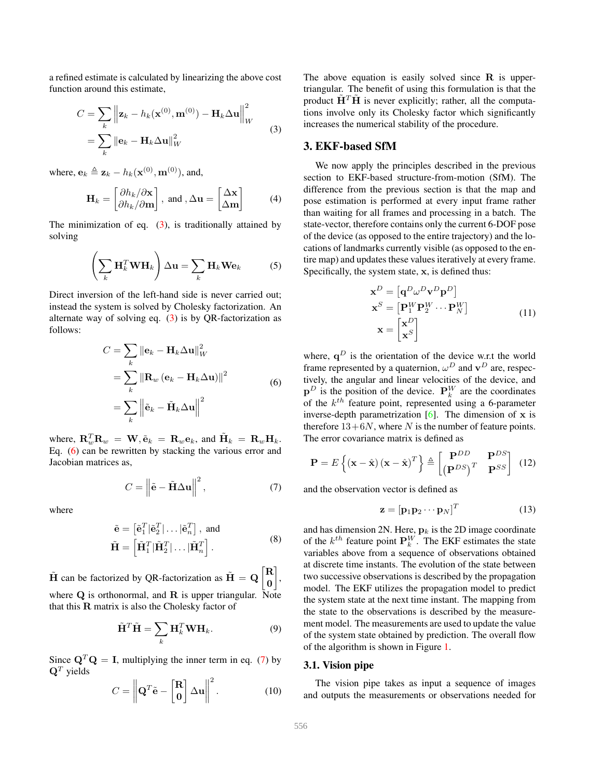<span id="page-2-4"></span>a refined estimate is calculated by linearizing the above cost function around this estimate,

<span id="page-2-1"></span>
$$
C = \sum_{k} \left\| \mathbf{z}_{k} - h_{k}(\mathbf{x}^{(0)}, \mathbf{m}^{(0)}) - \mathbf{H}_{k} \Delta \mathbf{u} \right\|_{W}^{2}
$$

$$
= \sum_{k} \left\| \mathbf{e}_{k} - \mathbf{H}_{k} \Delta \mathbf{u} \right\|_{W}^{2}
$$
(3)

where,  $\mathbf{e}_k \triangleq \mathbf{z}_k - h_k(\mathbf{x}^{(0)}, \mathbf{m}^{(0)})$ , and,

$$
\mathbf{H}_{k} = \begin{bmatrix} \partial h_{k}/\partial \mathbf{x} \\ \partial h_{k}/\partial \mathbf{m} \end{bmatrix}, \text{ and }, \Delta \mathbf{u} = \begin{bmatrix} \Delta \mathbf{x} \\ \Delta \mathbf{m} \end{bmatrix}
$$
 (4)

The minimization of eq.  $(3)$ , is traditionally attained by solving

$$
\left(\sum_{k} \mathbf{H}_{k}^{T} \mathbf{W} \mathbf{H}_{k}\right) \Delta \mathbf{u} = \sum_{k} \mathbf{H}_{k} \mathbf{W} \mathbf{e}_{k} \tag{5}
$$

Direct inversion of the left-hand side is never carried out; instead the system is solved by Cholesky factorization. An alternate way of solving eq.  $(3)$  is by QR-factorization as follows:

$$
C = \sum_{k} \|\mathbf{e}_{k} - \mathbf{H}_{k} \Delta \mathbf{u}\|_{W}^{2}
$$
  
= 
$$
\sum_{k} \|\mathbf{R}_{w} (\mathbf{e}_{k} - \mathbf{H}_{k} \Delta \mathbf{u})\|^{2}
$$
  
= 
$$
\sum_{k} \left\|\tilde{\mathbf{e}}_{k} - \tilde{\mathbf{H}}_{k} \Delta \mathbf{u}\right\|^{2}
$$
 (6)

<span id="page-2-2"></span>where,  $\mathbf{R}_w^T \mathbf{R}_w = \mathbf{W}, \tilde{\mathbf{e}}_k = \mathbf{R}_w \mathbf{e}_k$ , and  $\tilde{\mathbf{H}}_k = \mathbf{R}_w \mathbf{H}_k$ . Eq. [\(6\)](#page-2-2) can be rewritten by stacking the various error and Jacobian matrices as,

<span id="page-2-3"></span>
$$
C = \left\| \tilde{\mathbf{e}} - \tilde{\mathbf{H}} \Delta \mathbf{u} \right\|^2, \tag{7}
$$

where

$$
\tilde{\mathbf{e}} = \left[\tilde{\mathbf{e}}_1^T | \tilde{\mathbf{e}}_2^T | \dots | \tilde{\mathbf{e}}_n^T \right], \text{ and}
$$

$$
\tilde{\mathbf{H}} = \left[\tilde{\mathbf{H}}_1^T | \tilde{\mathbf{H}}_2^T | \dots | \tilde{\mathbf{H}}_n^T \right].
$$
 (8)

 $\tilde{H}$  can be factorized by QR-factorization as  $\tilde{H} = Q \begin{bmatrix} R \\ 0 \end{bmatrix}$ 0 , where  $Q$  is orthonormal, and  $R$  is upper triangular. Note that this  **matrix is also the Cholesky factor of** 

$$
\tilde{\mathbf{H}}^T \tilde{\mathbf{H}} = \sum_k \mathbf{H}_k^T \mathbf{W} \mathbf{H}_k. \tag{9}
$$

Since  $\mathbf{Q}^T \mathbf{Q} = \mathbf{I}$ , multiplying the inner term in eq. [\(7\)](#page-2-3) by  $\mathbf{Q}^T$  yields

$$
C = \left\| \mathbf{Q}^T \tilde{\mathbf{e}} - \begin{bmatrix} \mathbf{R} \\ \mathbf{0} \end{bmatrix} \Delta \mathbf{u} \right\|^2.
$$
 (10)

The above equation is easily solved since  **is upper**triangular. The benefit of using this formulation is that the product  $\mathbf{H}^T \mathbf{H}$  is never explicitly; rather, all the computations involve only its Cholesky factor which significantly increases the numerical stability of the procedure.

## <span id="page-2-0"></span>3. EKF-based SfM

We now apply the principles described in the previous section to EKF-based structure-from-motion (SfM). The difference from the previous section is that the map and pose estimation is performed at every input frame rather than waiting for all frames and processing in a batch. The state-vector, therefore contains only the current 6-DOF pose of the device (as opposed to the entire trajectory) and the locations of landmarks currently visible (as opposed to the entire map) and updates these values iteratively at every frame. Specifically, the system state, x, is defined thus:

$$
\mathbf{x}^{D} = [\mathbf{q}^{D} \omega^{D} \mathbf{v}^{D} \mathbf{p}^{D}]
$$
  
\n
$$
\mathbf{x}^{S} = [\mathbf{P}_{1}^{W} \mathbf{P}_{2}^{W} \cdots \mathbf{P}_{N}^{W}]
$$
  
\n
$$
\mathbf{x} = \begin{bmatrix} \mathbf{x}^{D} \\ \mathbf{x}^{S} \end{bmatrix}
$$
 (11)

where,  $q^D$  is the orientation of the device w.r.t the world frame represented by a quaternion,  $\omega^D$  and  $\mathbf{v}^D$  are, respectively, the angular and linear velocities of the device, and  $\mathbf{p}^D$  is the position of the device.  $\mathbf{P}_k^W$  are the coordinates of the  $k^{th}$  feature point, represented using a 6-parameter inverse-depth parametrization  $[6]$ . The dimension of x is therefore  $13+6N$ , where N is the number of feature points. The error covariance matrix is defined as

$$
\mathbf{P} = E\left\{ (\mathbf{x} - \hat{\mathbf{x}}) (\mathbf{x} - \hat{\mathbf{x}})^T \right\} \triangleq \begin{bmatrix} \mathbf{P}^{DD} & \mathbf{P}^{DS} \\ (\mathbf{P}^{DS})^T & \mathbf{P}^{SS} \end{bmatrix}
$$
(12)

and the observation vector is defined as

$$
\mathbf{z} = [\mathbf{p}_1 \mathbf{p}_2 \cdots \mathbf{p}_N]^T
$$
 (13)

and has dimension 2N. Here,  $\mathbf{p}_k$  is the 2D image coordinate of the  $k^{th}$  feature point  $\mathbf{P}_k^W$ . The EKF estimates the state variables above from a sequence of observations obtained at discrete time instants. The evolution of the state between two successive observations is described by the propagation model. The EKF utilizes the propagation model to predict the system state at the next time instant. The mapping from the state to the observations is described by the measurement model. The measurements are used to update the value of the system state obtained by prediction. The overall flow of the algorithm is shown in Figure [1.](#page-0-0)

#### 3.1. Vision pipe

The vision pipe takes as input a sequence of images and outputs the measurements or observations needed for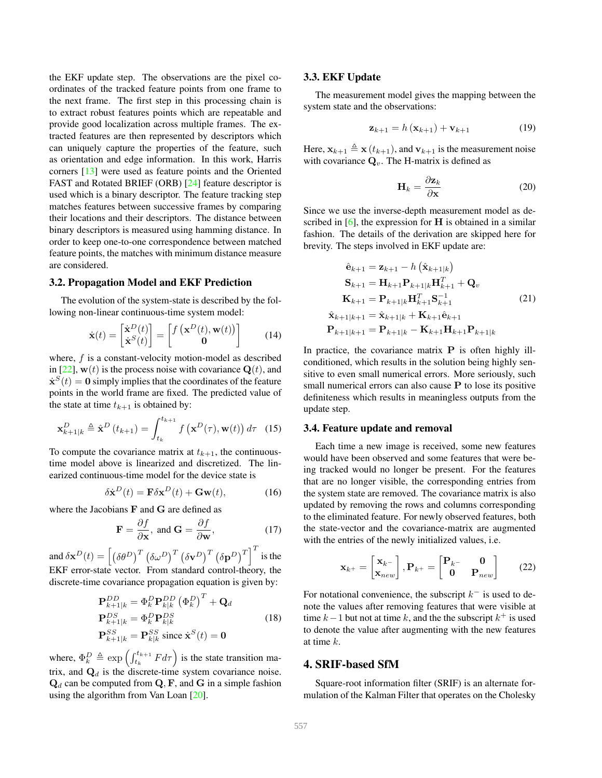<span id="page-3-4"></span>the EKF update step. The observations are the pixel coordinates of the tracked feature points from one frame to the next frame. The first step in this processing chain is to extract robust features points which are repeatable and provide good localization across multiple frames. The extracted features are then represented by descriptors which can uniquely capture the properties of the feature, such as orientation and edge information. In this work, Harris corners [\[13\]](#page-7-12) were used as feature points and the Oriented FAST and Rotated BRIEF (ORB) [\[24\]](#page-7-13) feature descriptor is used which is a binary descriptor. The feature tracking step matches features between successive frames by comparing their locations and their descriptors. The distance between binary descriptors is measured using hamming distance. In order to keep one-to-one correspondence between matched feature points, the matches with minimum distance measure are considered.

#### <span id="page-3-2"></span>3.2. Propagation Model and EKF Prediction

The evolution of the system-state is described by the following non-linear continuous-time system model:

$$
\dot{\mathbf{x}}(t) = \begin{bmatrix} \dot{\mathbf{x}}^D(t) \\ \dot{\mathbf{x}}^S(t) \end{bmatrix} = \begin{bmatrix} f\left(\mathbf{x}^D(t), \mathbf{w}(t)\right) \\ \mathbf{0} \end{bmatrix}
$$
(14)

where, f is a constant-velocity motion-model as described in [\[22\]](#page-7-14),  $w(t)$  is the process noise with covariance  $Q(t)$ , and  $\dot{\mathbf{x}}^{S}(t) = \mathbf{0}$  simply implies that the coordinates of the feature points in the world frame are fixed. The predicted value of the state at time  $t_{k+1}$  is obtained by:

$$
\mathbf{x}_{k+1|k}^D \triangleq \hat{\mathbf{x}}^D(t_{k+1}) = \int_{t_k}^{t_{k+1}} f\left(\mathbf{x}^D(\tau), \mathbf{w}(t)\right) d\tau \quad (15)
$$

To compute the covariance matrix at  $t_{k+1}$ , the continuoustime model above is linearized and discretized. The linearized continuous-time model for the device state is

$$
\delta \dot{\mathbf{x}}^{D}(t) = \mathbf{F} \delta \mathbf{x}^{D}(t) + \mathbf{G} \mathbf{w}(t), \qquad (16)
$$

where the Jacobians **F** and **G** are defined as

$$
\mathbf{F} = \frac{\partial f}{\partial \mathbf{x}}, \text{ and } \mathbf{G} = \frac{\partial f}{\partial \mathbf{w}},
$$
 (17)

and  $\delta \mathbf{x}^D(t) = \left[\left(\delta \theta^D\right)^T \left(\delta \omega^D\right)^T \left(\delta \mathbf{v}^D\right)^T \left(\delta \mathbf{p}^D\right)^T\right]^T$  is the EKF error-state vector. From standard control-theory, the discrete-time covariance propagation equation is given by:

$$
\mathbf{P}_{k+1|k}^{DD} = \Phi_k^D \mathbf{P}_{k|k}^{DD} (\Phi_k^D)^T + \mathbf{Q}_d
$$
  
\n
$$
\mathbf{P}_{k+1|k}^{DS} = \Phi_k^D \mathbf{P}_{k|k}^{DS}
$$
  
\n
$$
\mathbf{P}_{k+1|k}^{SS} = \mathbf{P}_{k|k}^{SS} \text{ since } \dot{\mathbf{x}}^S(t) = \mathbf{0}
$$
\n(18)

where,  $\Phi_k^D \triangleq \exp\left(\int_{t_k}^{t_{k+1}} F d\tau\right)$  is the state transition matrix, and  $\mathbf{Q}_d$  is the discrete-time system covariance noise.  ${\bf Q}_d$  can be computed from  ${\bf Q}, {\bf F}$ , and  ${\bf G}$  in a simple fashion using the algorithm from Van Loan [\[20\]](#page-7-15).

#### <span id="page-3-1"></span>3.3. EKF Update

The measurement model gives the mapping between the system state and the observations:

$$
\mathbf{z}_{k+1} = h\left(\mathbf{x}_{k+1}\right) + \mathbf{v}_{k+1} \tag{19}
$$

Here,  $\mathbf{x}_{k+1} \triangleq \mathbf{x}$   $(t_{k+1})$ , and  $\mathbf{v}_{k+1}$  is the measurement noise with covariance  $\mathbf{Q}_v$ . The H-matrix is defined as

$$
\mathbf{H}_k = \frac{\partial \mathbf{z}_k}{\partial \mathbf{x}} \tag{20}
$$

Since we use the inverse-depth measurement model as described in  $[6]$ , the expression for  $H$  is obtained in a similar fashion. The details of the derivation are skipped here for brevity. The steps involved in EKF update are:

$$
\hat{\mathbf{e}}_{k+1} = \mathbf{z}_{k+1} - h \left( \hat{\mathbf{x}}_{k+1|k} \right)
$$
  
\n
$$
\mathbf{S}_{k+1} = \mathbf{H}_{k+1} \mathbf{P}_{k+1|k} \mathbf{H}_{k+1}^T + \mathbf{Q}_v
$$
  
\n
$$
\mathbf{K}_{k+1} = \mathbf{P}_{k+1|k} \mathbf{H}_{k+1}^T \mathbf{S}_{k+1}^{-1}
$$
  
\n
$$
\hat{\mathbf{x}}_{k+1|k+1} = \hat{\mathbf{x}}_{k+1|k} + \mathbf{K}_{k+1} \hat{\mathbf{e}}_{k+1}
$$
  
\n
$$
\mathbf{P}_{k+1|k+1} = \mathbf{P}_{k+1|k} - \mathbf{K}_{k+1} \mathbf{H}_{k+1} \mathbf{P}_{k+1|k}
$$

In practice, the covariance matrix  $P$  is often highly illconditioned, which results in the solution being highly sensitive to even small numerical errors. More seriously, such small numerical errors can also cause  $P$  to lose its positive definiteness which results in meaningless outputs from the update step.

#### <span id="page-3-3"></span>3.4. Feature update and removal

Each time a new image is received, some new features would have been observed and some features that were being tracked would no longer be present. For the features that are no longer visible, the corresponding entries from the system state are removed. The covariance matrix is also updated by removing the rows and columns corresponding to the eliminated feature. For newly observed features, both the state-vector and the covariance-matrix are augmented with the entries of the newly initialized values, i.e.

$$
\mathbf{x}_{k^{+}} = \begin{bmatrix} \mathbf{x}_{k^{-}} \\ \mathbf{x}_{new} \end{bmatrix}, \mathbf{P}_{k^{+}} = \begin{bmatrix} \mathbf{P}_{k^{-}} & \mathbf{0} \\ \mathbf{0} & \mathbf{P}_{new} \end{bmatrix} \tag{22}
$$

For notational convenience, the subscript  $k^-$  is used to denote the values after removing features that were visible at time  $k-1$  but not at time k, and the the subscript  $k^+$  is used to denote the value after augmenting with the new features at time k.

# <span id="page-3-0"></span>4. SRIF-based SfM

Square-root information filter (SRIF) is an alternate formulation of the Kalman Filter that operates on the Cholesky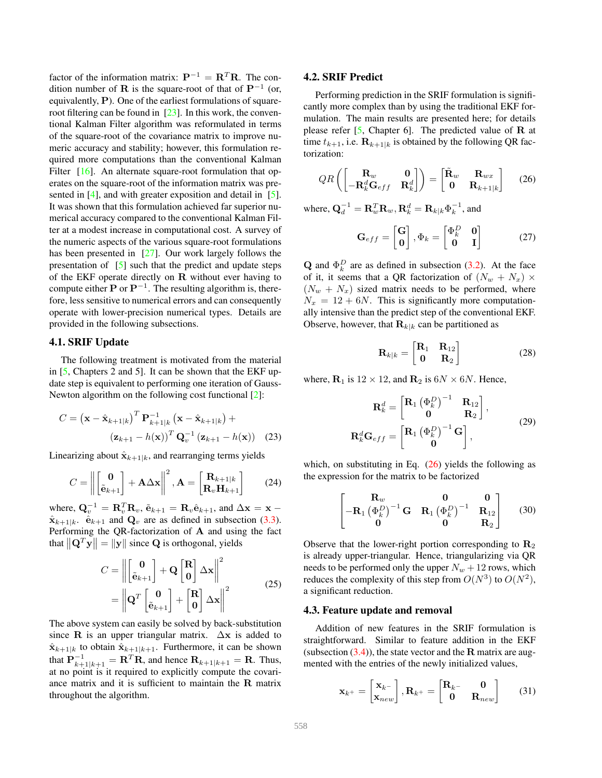<span id="page-4-1"></span>factor of the information matrix:  $\mathbf{P}^{-1} = \mathbf{R}^T \mathbf{R}$ . The condition number of **R** is the square-root of that of  $P^{-1}$  (or, equivalently, P). One of the earliest formulations of squareroot filtering can be found in [\[23\]](#page-7-16). In this work, the conventional Kalman Filter algorithm was reformulated in terms of the square-root of the covariance matrix to improve numeric accuracy and stability; however, this formulation required more computations than the conventional Kalman Filter [\[16\]](#page-7-17). An alternate square-root formulation that operates on the square-root of the information matrix was pre-sented in [\[4\]](#page-7-4), and with greater exposition and detail in [\[5\]](#page-7-18). It was shown that this formulation achieved far superior numerical accuracy compared to the conventional Kalman Filter at a modest increase in computational cost. A survey of the numeric aspects of the various square-root formulations has been presented in [\[27\]](#page-8-2). Our work largely follows the presentation of [\[5\]](#page-7-18) such that the predict and update steps of the EKF operate directly on  $R$  without ever having to compute either  $P$  or  $P^{-1}$ . The resulting algorithm is, therefore, less sensitive to numerical errors and can consequently operate with lower-precision numerical types. Details are provided in the following subsections.

### 4.1. SRIF Update

The following treatment is motivated from the material in [\[5,](#page-7-18) Chapters 2 and 5]. It can be shown that the EKF update step is equivalent to performing one iteration of Gauss-Newton algorithm on the following cost functional [\[2\]](#page-6-3):

$$
C = \left(\mathbf{x} - \hat{\mathbf{x}}_{k+1|k}\right)^{T} \mathbf{P}_{k+1|k}^{-1} \left(\mathbf{x} - \hat{\mathbf{x}}_{k+1|k}\right) +
$$

$$
\left(\mathbf{z}_{k+1} - h(\mathbf{x})\right)^{T} \mathbf{Q}_{v}^{-1} \left(\mathbf{z}_{k+1} - h(\mathbf{x})\right) \quad (23)
$$

Linearizing about  $\hat{\mathbf{x}}_{k+1|k}$ , and rearranging terms yields

$$
C = \left\| \begin{bmatrix} \mathbf{0} \\ \tilde{\mathbf{e}}_{k+1} \end{bmatrix} + \mathbf{A} \Delta \mathbf{x} \right\|^2, \mathbf{A} = \begin{bmatrix} \mathbf{R}_{k+1|k} \\ \mathbf{R}_v \mathbf{H}_{k+1} \end{bmatrix}
$$
(24)

where,  $\mathbf{Q}_v^{-1} = \mathbf{R}_v^T \mathbf{R}_v$ ,  $\tilde{\mathbf{e}}_{k+1} = \mathbf{R}_v \hat{\mathbf{e}}_{k+1}$ , and  $\Delta \mathbf{x} = \mathbf{x}$  $\hat{\mathbf{x}}_{k+1|k}$ .  $\hat{\mathbf{e}}_{k+1}$  and  $\mathbf{Q}_v$  are as defined in subsection [\(3.3\)](#page-3-1). Performing the QR-factorization of A and using the fact that  $\left\| \mathbf{Q}^{T} \mathbf{y} \right\| = \| \mathbf{y} \|$  since **Q** is orthogonal, yields

$$
C = \left\| \begin{bmatrix} \mathbf{0} \\ \tilde{\mathbf{e}}_{k+1} \end{bmatrix} + \mathbf{Q} \begin{bmatrix} \mathbf{R} \\ \mathbf{0} \end{bmatrix} \Delta \mathbf{x} \right\|^2
$$
  
= 
$$
\left\| \mathbf{Q}^T \begin{bmatrix} \mathbf{0} \\ \tilde{\mathbf{e}}_{k+1} \end{bmatrix} + \begin{bmatrix} \mathbf{R} \\ \mathbf{0} \end{bmatrix} \Delta \mathbf{x} \right\|^2
$$
 (25)

The above system can easily be solved by back-substitution since R is an upper triangular matrix.  $\Delta x$  is added to  $\hat{\mathbf{x}}_{k+1|k}$  to obtain  $\hat{\mathbf{x}}_{k+1|k+1}$ . Furthermore, it can be shown that  $\mathbf{P}_{k+1|k+1}^{-1} = \mathbf{R}^{T} \mathbf{R}$ , and hence  $\mathbf{R}_{k+1|k+1} = \mathbf{R}$ . Thus, at no point is it required to explicitly compute the covariance matrix and it is sufficient to maintain the R matrix throughout the algorithm.

#### 4.2. SRIF Predict

Performing prediction in the SRIF formulation is significantly more complex than by using the traditional EKF formulation. The main results are presented here; for details please refer  $[5,$  Chapter 6]. The predicted value of  $\bf{R}$  at time  $t_{k+1}$ , i.e.  $\mathbf{R}_{k+1|k}$  is obtained by the following QR factorization:

<span id="page-4-0"></span>
$$
QR\left(\begin{bmatrix} \mathbf{R}_w & \mathbf{0} \\ -\mathbf{R}_k^d \mathbf{G}_{eff} & \mathbf{R}_k^d \end{bmatrix}\right) = \begin{bmatrix} \tilde{\mathbf{R}}_w & \mathbf{R}_{wx} \\ \mathbf{0} & \mathbf{R}_{k+1|k} \end{bmatrix} \tag{26}
$$

where,  $\mathbf{Q}_d^{-1} = \mathbf{R}_w^T \mathbf{R}_w, \mathbf{R}_k^d = \mathbf{R}_{k|k} \Phi_k^{-1}$ , and

$$
\mathbf{G}_{eff} = \begin{bmatrix} \mathbf{G} \\ \mathbf{0} \end{bmatrix}, \Phi_k = \begin{bmatrix} \Phi_k^D & \mathbf{0} \\ \mathbf{0} & \mathbf{I} \end{bmatrix} \tag{27}
$$

**Q** and  $\Phi_k^D$  are as defined in subsection [\(3.2\)](#page-3-2). At the face of it, it seems that a QR factorization of  $(N_w + N_x) \times$  $(N_w + N_x)$  sized matrix needs to be performed, where  $N_x = 12 + 6N$ . This is significantly more computationally intensive than the predict step of the conventional EKF. Observe, however, that  $\mathbf{R}_{k|k}$  can be partitioned as

$$
\mathbf{R}_{k|k} = \begin{bmatrix} \mathbf{R}_1 & \mathbf{R}_{12} \\ \mathbf{0} & \mathbf{R}_2 \end{bmatrix} \tag{28}
$$

where,  $\mathbf{R}_1$  is  $12 \times 12$ , and  $\mathbf{R}_2$  is  $6N \times 6N$ . Hence,

$$
\mathbf{R}_{k}^{d} = \begin{bmatrix} \mathbf{R}_{1} (\Phi_{k}^{D})^{-1} & \mathbf{R}_{12} \\ \mathbf{0} & \mathbf{R}_{2} \end{bmatrix},
$$

$$
\mathbf{R}_{k}^{d} \mathbf{G}_{eff} = \begin{bmatrix} \mathbf{R}_{1} (\Phi_{k}^{D})^{-1} \mathbf{G} \\ \mathbf{0} \end{bmatrix},
$$
(29)

which, on substituting in Eq.  $(26)$  yields the following as the expression for the matrix to be factorized

$$
\begin{bmatrix}\n\mathbf{R}_w & \mathbf{0} & \mathbf{0} \\
-\mathbf{R}_1 \left(\Phi_k^D\right)^{-1} \mathbf{G} & \mathbf{R}_1 \left(\Phi_k^D\right)^{-1} & \mathbf{R}_{12} \\
\mathbf{0} & \mathbf{0} & \mathbf{R}_2\n\end{bmatrix}
$$
(30)

Observe that the lower-right portion corresponding to  $\mathbf{R}_2$ is already upper-triangular. Hence, triangularizing via QR needs to be performed only the upper  $N_w + 12$  rows, which reduces the complexity of this step from  $O(N^3)$  to  $O(N^2)$ , a significant reduction.

## 4.3. Feature update and removal

Addition of new features in the SRIF formulation is straightforward. Similar to feature addition in the EKF (subsection  $(3.4)$ ), the state vector and the R matrix are augmented with the entries of the newly initialized values,

$$
\mathbf{x}_{k^{+}} = \begin{bmatrix} \mathbf{x}_{k^{-}} \\ \mathbf{x}_{new} \end{bmatrix}, \mathbf{R}_{k^{+}} = \begin{bmatrix} \mathbf{R}_{k^{-}} & \mathbf{0} \\ \mathbf{0} & \mathbf{R}_{new} \end{bmatrix}
$$
(31)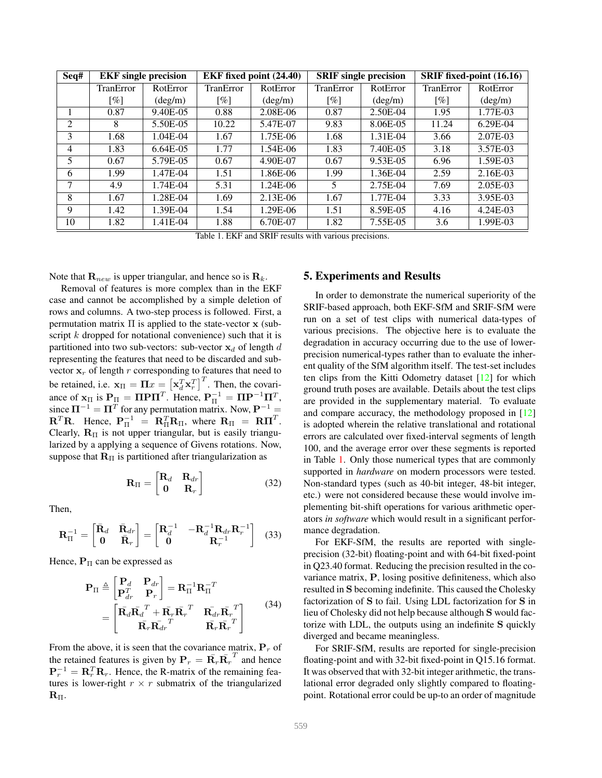<span id="page-5-2"></span>

| Seq# |                    | <b>EKF</b> single precision<br><b>EKF</b> fixed point (24.40)<br><b>SRIF</b> single precision |           |                  | SRIF fixed-point (16.16) |                  |           |                  |
|------|--------------------|-----------------------------------------------------------------------------------------------|-----------|------------------|--------------------------|------------------|-----------|------------------|
|      | TranError          | RotError                                                                                      | TranError | RotError         | <b>TranError</b>         | RotError         | TranError | RotError         |
|      | $\lceil \% \rceil$ | $(\text{deg/m})$                                                                              | [%]       | $(\text{deg/m})$ | $\lceil \% \rceil$       | $(\text{deg/m})$ | [%]       | $(\text{deg/m})$ |
|      | 0.87               | 9.40E-05                                                                                      | 0.88      | 2.08E-06         | 0.87                     | 2.50E-04         | 1.95      | 1.77E-03         |
| 2    | 8                  | 5.50E-05                                                                                      | 10.22     | 5.47E-07         | 9.83                     | 8.06E-05         | 11.24     | $6.29E-04$       |
| 3    | 1.68               | $1.04E-04$                                                                                    | 1.67      | 1.75E-06         | 1.68                     | 1.31E-04         | 3.66      | 2.07E-03         |
| 4    | 1.83               | 6.64E-05                                                                                      | 1.77      | 1.54E-06         | 1.83                     | 7.40E-05         | 3.18      | 3.57E-03         |
| 5    | 0.67               | 5.79E-05                                                                                      | 0.67      | 4.90E-07         | 0.67                     | 9.53E-05         | 6.96      | 1.59E-03         |
| 6    | 1.99               | 1.47E-04                                                                                      | 1.51      | 1.86E-06         | 1.99                     | 1.36E-04         | 2.59      | 2.16E-03         |
|      | 4.9                | 1.74E-04                                                                                      | 5.31      | 1.24E-06         | 5                        | 2.75E-04         | 7.69      | 2.05E-03         |
| 8    | 1.67               | 1.28E-04                                                                                      | 1.69      | $2.13E-06$       | 1.67                     | 1.77E-04         | 3.33      | 3.95E-03         |
| 9    | 1.42               | 1.39E-04                                                                                      | 1.54      | 1.29E-06         | 1.51                     | 8.59E-05         | 4.16      | 4.24E-03         |
| 10   | 1.82               | 1.41E-04                                                                                      | 1.88      | 6.70E-07         | 1.82                     | 7.55E-05         | 3.6       | 1.99E-03         |

<span id="page-5-1"></span>Table 1. EKF and SRIF results with various precisions.

Note that  $\mathbf{R}_{new}$  is upper triangular, and hence so is  $\mathbf{R}_{k}$ .

Removal of features is more complex than in the EKF case and cannot be accomplished by a simple deletion of rows and columns. A two-step process is followed. First, a permutation matrix  $\Pi$  is applied to the state-vector  $x$  (subscript  $k$  dropped for notational convenience) such that it is partitioned into two sub-vectors: sub-vector  $x_d$  of length d representing the features that need to be discarded and subvector  $x_r$  of length r corresponding to features that need to be retained, i.e.  $\mathbf{x}_{\Pi} = \Pi x = \left[ \mathbf{x}_d^T \mathbf{x}_r^T \right]^T$ . Then, the covariance of  $\mathbf{x}_{\Pi}$  is  $\mathbf{P}_{\Pi} = \Pi \mathbf{P} \Pi^T$ . Hence,  $\mathbf{P}_{\Pi}^{-1} = \Pi \mathbf{P}^{-1} \Pi^T$ , since  $\Pi^{-1} = \Pi^{T}$  for any permutation matrix. Now,  $P^{-1} =$  $\mathbf{R}^T \mathbf{R}$ . Hence,  $\mathbf{P}_{\Pi}^{-1} = \mathbf{R}_{\Pi}^T \mathbf{R}_{\Pi}$ , where  $\mathbf{R}_{\Pi} = \mathbf{R} \Pi^T$ . Clearly,  $\mathbf{R}_{\text{II}}$  is not upper triangular, but is easily triangularized by a applying a sequence of Givens rotations. Now, suppose that  $R_{II}$  is partitioned after triangularization as

$$
\mathbf{R}_{\Pi} = \begin{bmatrix} \mathbf{R}_d & \mathbf{R}_{dr} \\ \mathbf{0} & \mathbf{R}_r \end{bmatrix} \tag{32}
$$

Then,

$$
\mathbf{R}_{\Pi}^{-1} = \begin{bmatrix} \bar{\mathbf{R}}_d & \bar{\mathbf{R}}_{dr} \\ \mathbf{0} & \bar{\mathbf{R}}_r \end{bmatrix} = \begin{bmatrix} \mathbf{R}_d^{-1} & -\mathbf{R}_d^{-1} \mathbf{R}_{dr} \mathbf{R}_r^{-1} \\ \mathbf{0} & \mathbf{R}_r^{-1} \end{bmatrix}
$$
(33)

Hence,  $P_{\Pi}$  can be expressed as

$$
\mathbf{P}_{\Pi} \triangleq \begin{bmatrix} \mathbf{P}_{d} & \mathbf{P}_{dr} \\ \mathbf{P}_{dr}^{T} & \mathbf{P}_{r} \end{bmatrix} = \mathbf{R}_{\Pi}^{-1} \mathbf{R}_{\Pi}^{-T} \n= \begin{bmatrix} \bar{\mathbf{R}}_{d} \bar{\mathbf{R}}_{d}^{T} + \bar{\mathbf{R}}_{r} \bar{\mathbf{R}}_{r}^{T} & \bar{\mathbf{R}}_{dr} \bar{\mathbf{R}}_{r}^{T} \\ \bar{\mathbf{R}}_{r} \bar{\mathbf{R}}_{dr}^{T} & \bar{\mathbf{R}}_{r} \bar{\mathbf{R}}_{r}^{T} \end{bmatrix} (34)
$$

From the above, it is seen that the covariance matrix,  $P_r$  of the retained features is given by  $\mathbf{P}_r = \bar{\mathbf{R}_r} \bar{\mathbf{R}_r}^T$  and hence  ${\bf P}_r^{-1} = {\bf R}_r^T {\bf R}_r$ . Hence, the R-matrix of the remaining features is lower-right  $r \times r$  submatrix of the triangularized  $\mathbf{R}_{\Pi}$ .

## <span id="page-5-0"></span>5. Experiments and Results

In order to demonstrate the numerical superiority of the SRIF-based approach, both EKF-SfM and SRIF-SfM were run on a set of test clips with numerical data-types of various precisions. The objective here is to evaluate the degradation in accuracy occurring due to the use of lowerprecision numerical-types rather than to evaluate the inherent quality of the SfM algorithm itself. The test-set includes ten clips from the Kitti Odometry dataset [\[12\]](#page-7-19) for which ground truth poses are available. Details about the test clips are provided in the supplementary material. To evaluate and compare accuracy, the methodology proposed in [\[12\]](#page-7-19) is adopted wherein the relative translational and rotational errors are calculated over fixed-interval segments of length 100, and the average error over these segments is reported in Table [1.](#page-5-1) Only those numerical types that are commonly supported in *hardware* on modern processors were tested. Non-standard types (such as 40-bit integer, 48-bit integer, etc.) were not considered because these would involve implementing bit-shift operations for various arithmetic operators *in software* which would result in a significant performance degradation.

For EKF-SfM, the results are reported with singleprecision (32-bit) floating-point and with 64-bit fixed-point in Q23.40 format. Reducing the precision resulted in the covariance matrix, P, losing positive definiteness, which also resulted in S becoming indefinite. This caused the Cholesky factorization of S to fail. Using LDL factorization for S in lieu of Cholesky did not help because although S would factorize with LDL, the outputs using an indefinite S quickly diverged and became meaningless.

For SRIF-SfM, results are reported for single-precision floating-point and with 32-bit fixed-point in Q15.16 format. It was observed that with 32-bit integer arithmetic, the translational error degraded only slightly compared to floatingpoint. Rotational error could be up-to an order of magnitude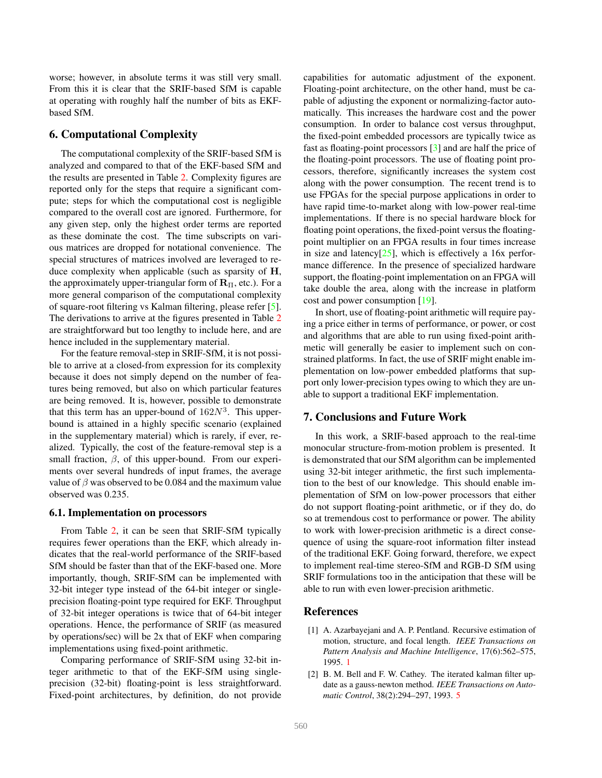<span id="page-6-4"></span>worse; however, in absolute terms it was still very small. From this it is clear that the SRIF-based SfM is capable at operating with roughly half the number of bits as EKFbased SfM.

# <span id="page-6-1"></span>6. Computational Complexity

The computational complexity of the SRIF-based SfM is analyzed and compared to that of the EKF-based SfM and the results are presented in Table [2.](#page-7-20) Complexity figures are reported only for the steps that require a significant compute; steps for which the computational cost is negligible compared to the overall cost are ignored. Furthermore, for any given step, only the highest order terms are reported as these dominate the cost. The time subscripts on various matrices are dropped for notational convenience. The special structures of matrices involved are leveraged to reduce complexity when applicable (such as sparsity of H, the approximately upper-triangular form of  $\mathbf{R}_{\Pi}$ , etc.). For a more general comparison of the computational complexity of square-root filtering vs Kalman filtering, please refer [\[5\]](#page-7-18). The derivations to arrive at the figures presented in Table [2](#page-7-20) are straightforward but too lengthy to include here, and are hence included in the supplementary material.

For the feature removal-step in SRIF-SfM, it is not possible to arrive at a closed-from expression for its complexity because it does not simply depend on the number of features being removed, but also on which particular features are being removed. It is, however, possible to demonstrate that this term has an upper-bound of  $162N<sup>3</sup>$ . This upperbound is attained in a highly specific scenario (explained in the supplementary material) which is rarely, if ever, realized. Typically, the cost of the feature-removal step is a small fraction,  $\beta$ , of this upper-bound. From our experiments over several hundreds of input frames, the average value of  $\beta$  was observed to be 0.084 and the maximum value observed was 0.235.

#### 6.1. Implementation on processors

From Table [2,](#page-7-20) it can be seen that SRIF-SfM typically requires fewer operations than the EKF, which already indicates that the real-world performance of the SRIF-based SfM should be faster than that of the EKF-based one. More importantly, though, SRIF-SfM can be implemented with 32-bit integer type instead of the 64-bit integer or singleprecision floating-point type required for EKF. Throughput of 32-bit integer operations is twice that of 64-bit integer operations. Hence, the performance of SRIF (as measured by operations/sec) will be 2x that of EKF when comparing implementations using fixed-point arithmetic.

Comparing performance of SRIF-SfM using 32-bit integer arithmetic to that of the EKF-SfM using singleprecision (32-bit) floating-point is less straightforward. Fixed-point architectures, by definition, do not provide capabilities for automatic adjustment of the exponent. Floating-point architecture, on the other hand, must be capable of adjusting the exponent or normalizing-factor automatically. This increases the hardware cost and the power consumption. In order to balance cost versus throughput, the fixed-point embedded processors are typically twice as fast as floating-point processors [\[3\]](#page-7-21) and are half the price of the floating-point processors. The use of floating point processors, therefore, significantly increases the system cost along with the power consumption. The recent trend is to use FPGAs for the special purpose applications in order to have rapid time-to-market along with low-power real-time implementations. If there is no special hardware block for floating point operations, the fixed-point versus the floatingpoint multiplier on an FPGA results in four times increase in size and latency $[25]$ , which is effectively a 16x performance difference. In the presence of specialized hardware support, the floating-point implementation on an FPGA will take double the area, along with the increase in platform cost and power consumption [\[19\]](#page-7-22).

In short, use of floating-point arithmetic will require paying a price either in terms of performance, or power, or cost and algorithms that are able to run using fixed-point arithmetic will generally be easier to implement such on constrained platforms. In fact, the use of SRIF might enable implementation on low-power embedded platforms that support only lower-precision types owing to which they are unable to support a traditional EKF implementation.

## <span id="page-6-2"></span>7. Conclusions and Future Work

In this work, a SRIF-based approach to the real-time monocular structure-from-motion problem is presented. It is demonstrated that our SfM algorithm can be implemented using 32-bit integer arithmetic, the first such implementation to the best of our knowledge. This should enable implementation of SfM on low-power processors that either do not support floating-point arithmetic, or if they do, do so at tremendous cost to performance or power. The ability to work with lower-precision arithmetic is a direct consequence of using the square-root information filter instead of the traditional EKF. Going forward, therefore, we expect to implement real-time stereo-SfM and RGB-D SfM using SRIF formulations too in the anticipation that these will be able to run with even lower-precision arithmetic.

## References

- <span id="page-6-0"></span>[1] A. Azarbayejani and A. P. Pentland. Recursive estimation of motion, structure, and focal length. *IEEE Transactions on Pattern Analysis and Machine Intelligence*, 17(6):562–575, 1995. [1](#page-0-1)
- <span id="page-6-3"></span>[2] B. M. Bell and F. W. Cathey. The iterated kalman filter update as a gauss-newton method. *IEEE Transactions on Automatic Control*, 38(2):294–297, 1993. [5](#page-4-1)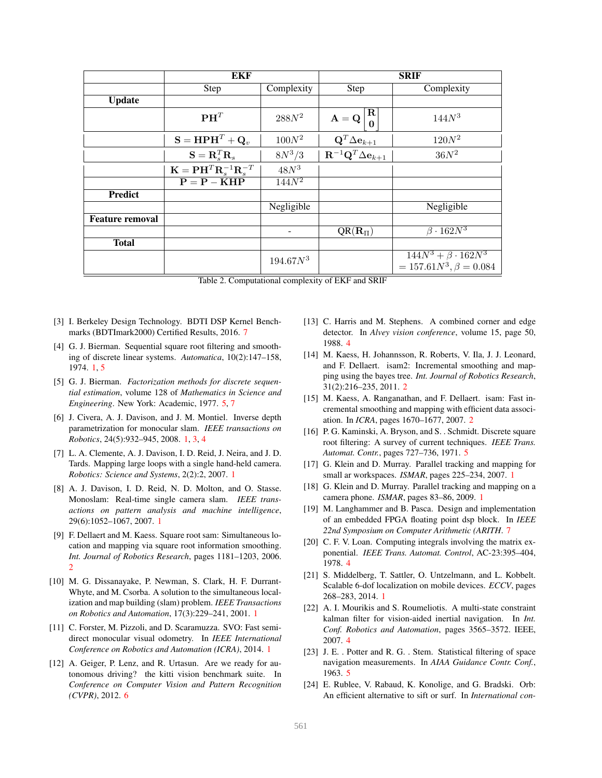|                        | EKF                                                                        |                     | <b>SRIF</b>                                                       |                                                               |  |
|------------------------|----------------------------------------------------------------------------|---------------------|-------------------------------------------------------------------|---------------------------------------------------------------|--|
|                        | Step                                                                       | Complexity          | <b>Step</b>                                                       | Complexity                                                    |  |
| <b>Update</b>          |                                                                            |                     |                                                                   |                                                               |  |
|                        | $\mathbf{P}\mathbf{H}^T$                                                   | $288N^2$            | $\bf R$<br>$\mathbf{A} = \mathbf{Q}$<br>$\Omega$                  | $144N^3$                                                      |  |
|                        | $\mathbf{S} = \mathbf{H} \mathbf{P} \mathbf{H}^T + \mathbf{Q}_v$           | $100N^2$            | $\mathbf{Q}^T\Delta\mathbf{e}_{k+1}$                              | $120N^2$                                                      |  |
|                        | $\mathbf{S} = \mathbf{R}_s^T \mathbf{R}_s$                                 | $8N^3/3$            | $\overline{\mathbf{R}^{-1} \mathbf{Q}^T \Delta \mathbf{e}_{k+1}}$ | $36N^2$                                                       |  |
|                        | $\mathbf{K} = \mathbf{P} \mathbf{H}^T \mathbf{R}_s^{-1} \mathbf{R}_s^{-T}$ | $48N^3$             |                                                                   |                                                               |  |
|                        | $P = P - KHP$                                                              | $\overline{144N^2}$ |                                                                   |                                                               |  |
| <b>Predict</b>         |                                                                            |                     |                                                                   |                                                               |  |
|                        |                                                                            | Negligible          |                                                                   | Negligible                                                    |  |
| <b>Feature removal</b> |                                                                            |                     |                                                                   |                                                               |  |
|                        |                                                                            |                     | $QR(R_{\Pi})$                                                     | $\beta \cdot 162N^3$                                          |  |
| <b>Total</b>           |                                                                            |                     |                                                                   |                                                               |  |
|                        |                                                                            | $194.67N^3$         |                                                                   | $144N^3 + \beta \cdot 162N^3$<br>$= 157.61N^3, \beta = 0.084$ |  |

<span id="page-7-20"></span>

- <span id="page-7-21"></span>[3] I. Berkeley Design Technology. BDTI DSP Kernel Benchmarks (BDTImark2000) Certified Results, 2016. [7](#page-6-4)
- <span id="page-7-4"></span>[4] G. J. Bierman. Sequential square root filtering and smoothing of discrete linear systems. *Automatica*, 10(2):147–158, 1974. [1,](#page-0-1) [5](#page-4-1)
- <span id="page-7-18"></span>[5] G. J. Bierman. *Factorization methods for discrete sequential estimation*, volume 128 of *Mathematics in Science and Engineering*. New York: Academic, 1977. [5,](#page-4-1) [7](#page-6-4)
- <span id="page-7-6"></span>[6] J. Civera, A. J. Davison, and J. M. Montiel. Inverse depth parametrization for monocular slam. *IEEE transactions on Robotics*, 24(5):932–945, 2008. [1,](#page-0-1) [3,](#page-2-4) [4](#page-3-4)
- <span id="page-7-8"></span>[7] L. A. Clemente, A. J. Davison, I. D. Reid, J. Neira, and J. D. Tards. Mapping large loops with a single hand-held camera. *Robotics: Science and Systems*, 2(2):2, 2007. [1](#page-0-1)
- <span id="page-7-7"></span>[8] A. J. Davison, I. D. Reid, N. D. Molton, and O. Stasse. Monoslam: Real-time single camera slam. *IEEE transactions on pattern analysis and machine intelligence*, 29(6):1052–1067, 2007. [1](#page-0-1)
- <span id="page-7-9"></span>[9] F. Dellaert and M. Kaess. Square root sam: Simultaneous location and mapping via square root information smoothing. *Int. Journal of Robotics Research*, pages 1181–1203, 2006. [2](#page-1-1)
- <span id="page-7-5"></span>[10] M. G. Dissanayake, P. Newman, S. Clark, H. F. Durrant-Whyte, and M. Csorba. A solution to the simultaneous localization and map building (slam) problem. *IEEE Transactions on Robotics and Automation*, 17(3):229–241, 2001. [1](#page-0-1)
- <span id="page-7-3"></span>[11] C. Forster, M. Pizzoli, and D. Scaramuzza. SVO: Fast semidirect monocular visual odometry. In *IEEE International Conference on Robotics and Automation (ICRA)*, 2014. [1](#page-0-1)
- <span id="page-7-19"></span>[12] A. Geiger, P. Lenz, and R. Urtasun. Are we ready for autonomous driving? the kitti vision benchmark suite. In *Conference on Computer Vision and Pattern Recognition (CVPR)*, 2012. [6](#page-5-2)
- <span id="page-7-12"></span>[13] C. Harris and M. Stephens. A combined corner and edge detector. In *Alvey vision conference*, volume 15, page 50, 1988. [4](#page-3-4)
- <span id="page-7-11"></span>[14] M. Kaess, H. Johannsson, R. Roberts, V. Ila, J. J. Leonard, and F. Dellaert. isam2: Incremental smoothing and mapping using the bayes tree. *Int. Journal of Robotics Research*, 31(2):216–235, 2011. [2](#page-1-1)
- <span id="page-7-10"></span>[15] M. Kaess, A. Ranganathan, and F. Dellaert. isam: Fast incremental smoothing and mapping with efficient data association. In *ICRA*, pages 1670–1677, 2007. [2](#page-1-1)
- <span id="page-7-17"></span>[16] P. G. Kaminski, A. Bryson, and S. . Schmidt. Discrete square root filtering: A survey of current techniques. *IEEE Trans. Automat. Contr.*, pages 727–736, 1971. [5](#page-4-1)
- <span id="page-7-0"></span>[17] G. Klein and D. Murray. Parallel tracking and mapping for small ar workspaces. *ISMAR*, pages 225–234, 2007. [1](#page-0-1)
- <span id="page-7-1"></span>[18] G. Klein and D. Murray. Parallel tracking and mapping on a camera phone. *ISMAR*, pages 83–86, 2009. [1](#page-0-1)
- <span id="page-7-22"></span>[19] M. Langhammer and B. Pasca. Design and implementation of an embedded FPGA floating point dsp block. In *IEEE 22nd Symposium on Computer Arithmetic (ARITH*. [7](#page-6-4)
- <span id="page-7-15"></span>[20] C. F. V. Loan. Computing integrals involving the matrix exponential. *IEEE Trans. Automat. Control*, AC-23:395–404, 1978. [4](#page-3-4)
- <span id="page-7-2"></span>[21] S. Middelberg, T. Sattler, O. Untzelmann, and L. Kobbelt. Scalable 6-dof localization on mobile devices. *ECCV*, pages 268–283, 2014. [1](#page-0-1)
- <span id="page-7-14"></span>[22] A. I. Mourikis and S. Roumeliotis. A multi-state constraint kalman filter for vision-aided inertial navigation. In *Int. Conf. Robotics and Automation*, pages 3565–3572. IEEE, 2007. [4](#page-3-4)
- <span id="page-7-16"></span>[23] J. E. . Potter and R. G. . Stem. Statistical filtering of space navigation measurements. In *AIAA Guidance Contr. Conf.*, 1963. [5](#page-4-1)
- <span id="page-7-13"></span>[24] E. Rublee, V. Rabaud, K. Konolige, and G. Bradski. Orb: An efficient alternative to sift or surf. In *International con-*